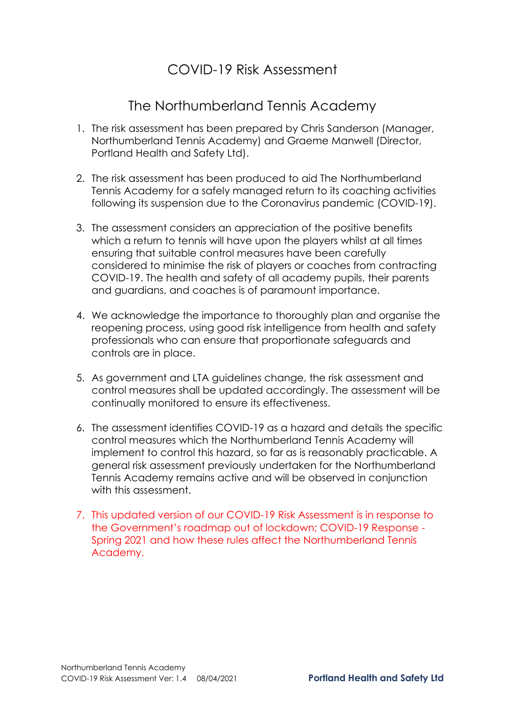## COVID-19 Risk Assessment

## The Northumberland Tennis Academy

- 1. The risk assessment has been prepared by Chris Sanderson (Manager, Northumberland Tennis Academy) and Graeme Manwell (Director, Portland Health and Safety Ltd).
- 2. The risk assessment has been produced to aid The Northumberland Tennis Academy for a safely managed return to its coaching activities following its suspension due to the Coronavirus pandemic (COVID-19).
- 3. The assessment considers an appreciation of the positive benefits which a return to tennis will have upon the players whilst at all times ensuring that suitable control measures have been carefully considered to minimise the risk of players or coaches from contracting COVID-19. The health and safety of all academy pupils, their parents and guardians, and coaches is of paramount importance.
- 4. We acknowledge the importance to thoroughly plan and organise the reopening process, using good risk intelligence from health and safety professionals who can ensure that proportionate safeguards and controls are in place.
- 5. As government and LTA guidelines change, the risk assessment and control measures shall be updated accordingly. The assessment will be continually monitored to ensure its effectiveness.
- 6. The assessment identifies COVID-19 as a hazard and details the specific control measures which the Northumberland Tennis Academy will implement to control this hazard, so far as is reasonably practicable. A general risk assessment previously undertaken for the Northumberland Tennis Academy remains active and will be observed in conjunction with this assessment.
- 7. This updated version of our COVID-19 Risk Assessment is in response to the Government's roadmap out of lockdown; COVID-19 Response - Spring 2021 and how these rules affect the Northumberland Tennis Academy.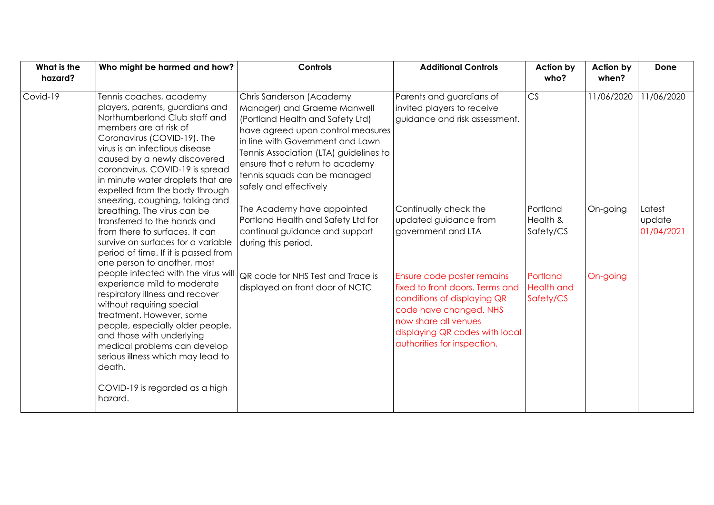| What is the | Who might be harmed and how?                                                                                                                                                                                                                                                                                                                                                                                                                                                                                                                                                                                                                                                                                                                                                                                                                                                                                                          | <b>Controls</b>                                                                                                                                                                                                                                                                                             | <b>Additional Controls</b>                                                                                                                                                                                      | Action by                                  | Action by  | Done                           |
|-------------|---------------------------------------------------------------------------------------------------------------------------------------------------------------------------------------------------------------------------------------------------------------------------------------------------------------------------------------------------------------------------------------------------------------------------------------------------------------------------------------------------------------------------------------------------------------------------------------------------------------------------------------------------------------------------------------------------------------------------------------------------------------------------------------------------------------------------------------------------------------------------------------------------------------------------------------|-------------------------------------------------------------------------------------------------------------------------------------------------------------------------------------------------------------------------------------------------------------------------------------------------------------|-----------------------------------------------------------------------------------------------------------------------------------------------------------------------------------------------------------------|--------------------------------------------|------------|--------------------------------|
| hazard?     |                                                                                                                                                                                                                                                                                                                                                                                                                                                                                                                                                                                                                                                                                                                                                                                                                                                                                                                                       |                                                                                                                                                                                                                                                                                                             |                                                                                                                                                                                                                 | who?                                       | when?      |                                |
| Covid-19    | Tennis coaches, academy<br>players, parents, guardians and<br>Northumberland Club staff and<br>members are at risk of<br>Coronavirus (COVID-19). The<br>virus is an infectious disease<br>caused by a newly discovered<br>coronavirus. COVID-19 is spread<br>in minute water droplets that are<br>expelled from the body through<br>sneezing, coughing, talking and<br>breathing. The virus can be<br>transferred to the hands and<br>from there to surfaces. It can<br>survive on surfaces for a variable<br>period of time. If it is passed from<br>one person to another, most<br>people infected with the virus will<br>experience mild to moderate<br>respiratory illness and recover<br>without requiring special<br>treatment. However, some<br>people, especially older people,<br>and those with underlying<br>medical problems can develop<br>serious illness which may lead to<br>death.<br>COVID-19 is regarded as a high | Chris Sanderson (Academy<br>Manager) and Graeme Manwell<br>(Portland Health and Safety Ltd)<br>have agreed upon control measures<br>in line with Government and Lawn<br>Tennis Association (LTA) guidelines to<br>ensure that a return to academy<br>tennis squads can be managed<br>safely and effectively | Parents and guardians of<br>invited players to receive<br>guidance and risk assessment.                                                                                                                         | CS                                         | 11/06/2020 | 11/06/2020                     |
|             |                                                                                                                                                                                                                                                                                                                                                                                                                                                                                                                                                                                                                                                                                                                                                                                                                                                                                                                                       | The Academy have appointed<br>Portland Health and Safety Ltd for<br>continual guidance and support<br>during this period.                                                                                                                                                                                   | Continually check the<br>updated guidance from<br>government and LTA                                                                                                                                            | Portland<br>Health &<br>Safety/CS          | On-going   | Latest<br>update<br>01/04/2021 |
|             |                                                                                                                                                                                                                                                                                                                                                                                                                                                                                                                                                                                                                                                                                                                                                                                                                                                                                                                                       | QR code for NHS Test and Trace is<br>displayed on front door of NCTC                                                                                                                                                                                                                                        | Ensure code poster remains<br>fixed to front doors. Terms and<br>conditions of displaying QR<br>code have changed. NHS<br>now share all venues<br>displaying QR codes with local<br>authorities for inspection. | Portland<br><b>Health and</b><br>Safety/CS | On-going   |                                |
|             | hazard.                                                                                                                                                                                                                                                                                                                                                                                                                                                                                                                                                                                                                                                                                                                                                                                                                                                                                                                               |                                                                                                                                                                                                                                                                                                             |                                                                                                                                                                                                                 |                                            |            |                                |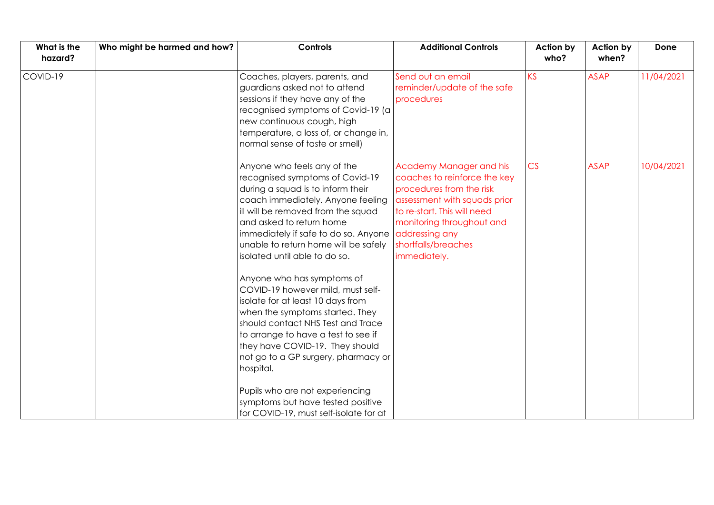| What is the<br>hazard? | Who might be harmed and how? | <b>Controls</b>                                                                                                                                                                                                                                                                                                                                                                                                                                                                                                                                                                                                                                                              | <b>Additional Controls</b>                                                                                                                                                                                                               | <b>Action by</b><br>who? | Action by<br>when? | Done       |
|------------------------|------------------------------|------------------------------------------------------------------------------------------------------------------------------------------------------------------------------------------------------------------------------------------------------------------------------------------------------------------------------------------------------------------------------------------------------------------------------------------------------------------------------------------------------------------------------------------------------------------------------------------------------------------------------------------------------------------------------|------------------------------------------------------------------------------------------------------------------------------------------------------------------------------------------------------------------------------------------|--------------------------|--------------------|------------|
| COVID-19               |                              | Coaches, players, parents, and<br>guardians asked not to attend<br>sessions if they have any of the<br>recognised symptoms of Covid-19 (a<br>new continuous cough, high<br>temperature, a loss of, or change in,<br>normal sense of taste or smell)                                                                                                                                                                                                                                                                                                                                                                                                                          | Send out an email<br>reminder/update of the safe<br>procedures                                                                                                                                                                           | KS                       | <b>ASAP</b>        | 11/04/2021 |
|                        |                              | Anyone who feels any of the<br>recognised symptoms of Covid-19<br>during a squad is to inform their<br>coach immediately. Anyone feeling<br>ill will be removed from the squad<br>and asked to return home<br>immediately if safe to do so. Anyone<br>unable to return home will be safely<br>isolated until able to do so.<br>Anyone who has symptoms of<br>COVID-19 however mild, must self-<br>isolate for at least 10 days from<br>when the symptoms started. They<br>should contact NHS Test and Trace<br>to arrange to have a test to see if<br>they have COVID-19. They should<br>not go to a GP surgery, pharmacy or<br>hospital.<br>Pupils who are not experiencing | Academy Manager and his<br>coaches to reinforce the key<br>procedures from the risk<br>assessment with squads prior<br>to re-start. This will need<br>monitoring throughout and<br>addressing any<br>shortfalls/breaches<br>immediately. | CS                       | <b>ASAP</b>        | 10/04/2021 |
|                        |                              | symptoms but have tested positive<br>for COVID-19, must self-isolate for at                                                                                                                                                                                                                                                                                                                                                                                                                                                                                                                                                                                                  |                                                                                                                                                                                                                                          |                          |                    |            |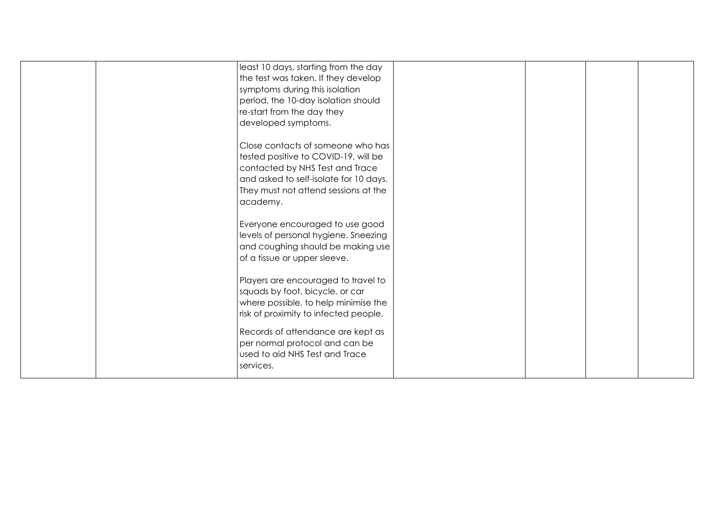| least 10 days, starting from the day<br>the test was taken. If they develop<br>symptoms during this isolation<br>period, the 10-day isolation should<br>re-start from the day they<br>developed symptoms.  |  |
|------------------------------------------------------------------------------------------------------------------------------------------------------------------------------------------------------------|--|
| Close contacts of someone who has<br>tested positive to COVID-19, will be<br>contacted by NHS Test and Trace<br>and asked to self-isolate for 10 days.<br>They must not attend sessions at the<br>academy. |  |
| Everyone encouraged to use good<br>levels of personal hygiene. Sneezing<br>and coughing should be making use<br>of a tissue or upper sleeve.                                                               |  |
| Players are encouraged to travel to<br>squads by foot, bicycle, or car<br>where possible, to help minimise the<br>risk of proximity to infected people,                                                    |  |
| Records of attendance are kept as<br>per normal protocol and can be<br>used to aid NHS Test and Trace<br>services.                                                                                         |  |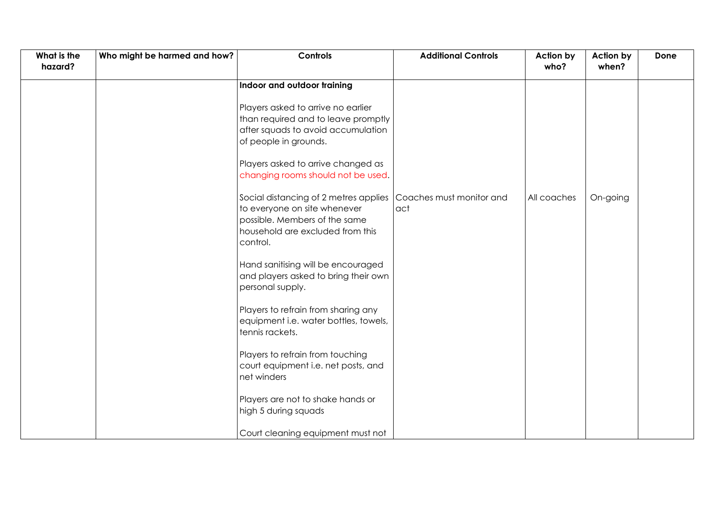| What is the<br>hazard? | Who might be harmed and how? | Controls                                                                                                                                               | <b>Additional Controls</b>      | <b>Action by</b><br>who? | <b>Action by</b><br>when? | Done |
|------------------------|------------------------------|--------------------------------------------------------------------------------------------------------------------------------------------------------|---------------------------------|--------------------------|---------------------------|------|
|                        |                              |                                                                                                                                                        |                                 |                          |                           |      |
|                        |                              | Indoor and outdoor training                                                                                                                            |                                 |                          |                           |      |
|                        |                              | Players asked to arrive no earlier<br>than required and to leave promptly<br>after squads to avoid accumulation<br>of people in grounds.               |                                 |                          |                           |      |
|                        |                              | Players asked to arrive changed as<br>changing rooms should not be used.                                                                               |                                 |                          |                           |      |
|                        |                              | Social distancing of 2 metres applies<br>to everyone on site whenever<br>possible. Members of the same<br>household are excluded from this<br>control. | Coaches must monitor and<br>act | All coaches              | On-going                  |      |
|                        |                              | Hand sanitising will be encouraged<br>and players asked to bring their own<br>personal supply.                                                         |                                 |                          |                           |      |
|                        |                              | Players to refrain from sharing any<br>equipment i.e. water bottles, towels,<br>tennis rackets.                                                        |                                 |                          |                           |      |
|                        |                              | Players to refrain from touching<br>court equipment i.e. net posts, and<br>net winders                                                                 |                                 |                          |                           |      |
|                        |                              | Players are not to shake hands or<br>high 5 during squads                                                                                              |                                 |                          |                           |      |
|                        |                              | Court cleaning equipment must not                                                                                                                      |                                 |                          |                           |      |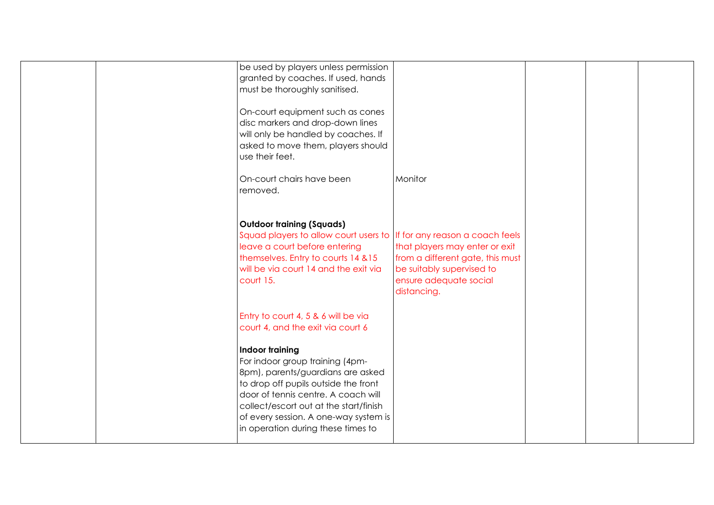|  | be used by players unless permission<br>granted by coaches. If used, hands<br>must be thoroughly sanitised.                                                                                                                                                                                            |                                                                                                                                          |  |  |
|--|--------------------------------------------------------------------------------------------------------------------------------------------------------------------------------------------------------------------------------------------------------------------------------------------------------|------------------------------------------------------------------------------------------------------------------------------------------|--|--|
|  | On-court equipment such as cones<br>disc markers and drop-down lines<br>will only be handled by coaches. If<br>asked to move them, players should<br>use their feet.                                                                                                                                   |                                                                                                                                          |  |  |
|  | On-court chairs have been<br>removed.                                                                                                                                                                                                                                                                  | Monitor                                                                                                                                  |  |  |
|  | <b>Outdoor training (Squads)</b><br>Squad players to allow court users to Iff for any reason a coach feels<br>leave a court before entering<br>themselves. Entry to courts 14 & 15<br>will be via court 14 and the exit via<br>court 15.                                                               | that players may enter or exit<br>from a different gate, this must<br>be suitably supervised to<br>ensure adequate social<br>distancing. |  |  |
|  | Entry to court 4, 5 & 6 will be via<br>court 4, and the exit via court 6                                                                                                                                                                                                                               |                                                                                                                                          |  |  |
|  | <b>Indoor training</b><br>For indoor group training (4pm-<br>8pm), parents/guardians are asked<br>to drop off pupils outside the front<br>door of tennis centre. A coach will<br>collect/escort out at the start/finish<br>of every session. A one-way system is<br>in operation during these times to |                                                                                                                                          |  |  |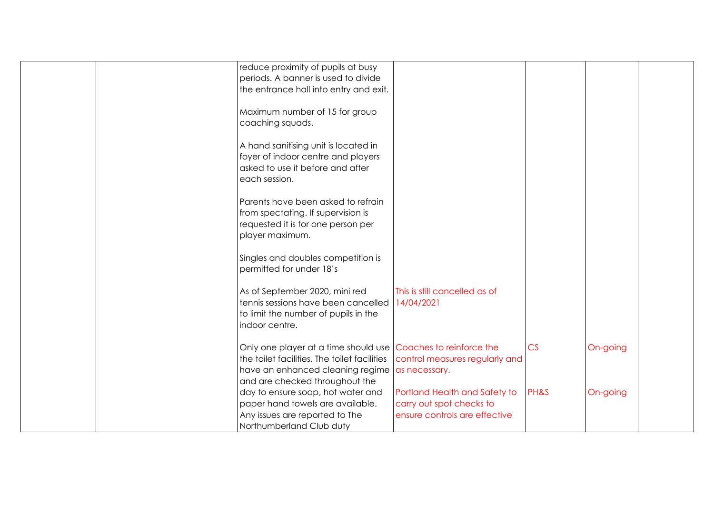|  | reduce proximity of pupils at busy                            |                                |      |          |  |
|--|---------------------------------------------------------------|--------------------------------|------|----------|--|
|  | periods. A banner is used to divide                           |                                |      |          |  |
|  | the entrance hall into entry and exit.                        |                                |      |          |  |
|  |                                                               |                                |      |          |  |
|  | Maximum number of 15 for group                                |                                |      |          |  |
|  | coaching squads.                                              |                                |      |          |  |
|  |                                                               |                                |      |          |  |
|  | A hand sanitising unit is located in                          |                                |      |          |  |
|  | foyer of indoor centre and players                            |                                |      |          |  |
|  | asked to use it before and after                              |                                |      |          |  |
|  | each session.                                                 |                                |      |          |  |
|  | Parents have been asked to refrain                            |                                |      |          |  |
|  | from spectating. If supervision is                            |                                |      |          |  |
|  | requested it is for one person per                            |                                |      |          |  |
|  | player maximum.                                               |                                |      |          |  |
|  |                                                               |                                |      |          |  |
|  | Singles and doubles competition is                            |                                |      |          |  |
|  | permitted for under 18's                                      |                                |      |          |  |
|  |                                                               |                                |      |          |  |
|  | As of September 2020, mini red                                | This is still cancelled as of  |      |          |  |
|  | tennis sessions have been cancelled                           | 14/04/2021                     |      |          |  |
|  | to limit the number of pupils in the                          |                                |      |          |  |
|  | indoor centre.                                                |                                |      |          |  |
|  |                                                               |                                |      |          |  |
|  | Only one player at a time should use Coaches to reinforce the |                                | CS   | On-going |  |
|  | the toilet facilities. The toilet facilities                  | control measures regularly and |      |          |  |
|  | have an enhanced cleaning regime                              | as necessary.                  |      |          |  |
|  | and are checked throughout the                                |                                |      |          |  |
|  | day to ensure soap, hot water and                             | Portland Health and Safety to  | PH&S | On-going |  |
|  | paper hand towels are available.                              | carry out spot checks to       |      |          |  |
|  | Any issues are reported to The                                | ensure controls are effective  |      |          |  |
|  | Northumberland Club duty                                      |                                |      |          |  |